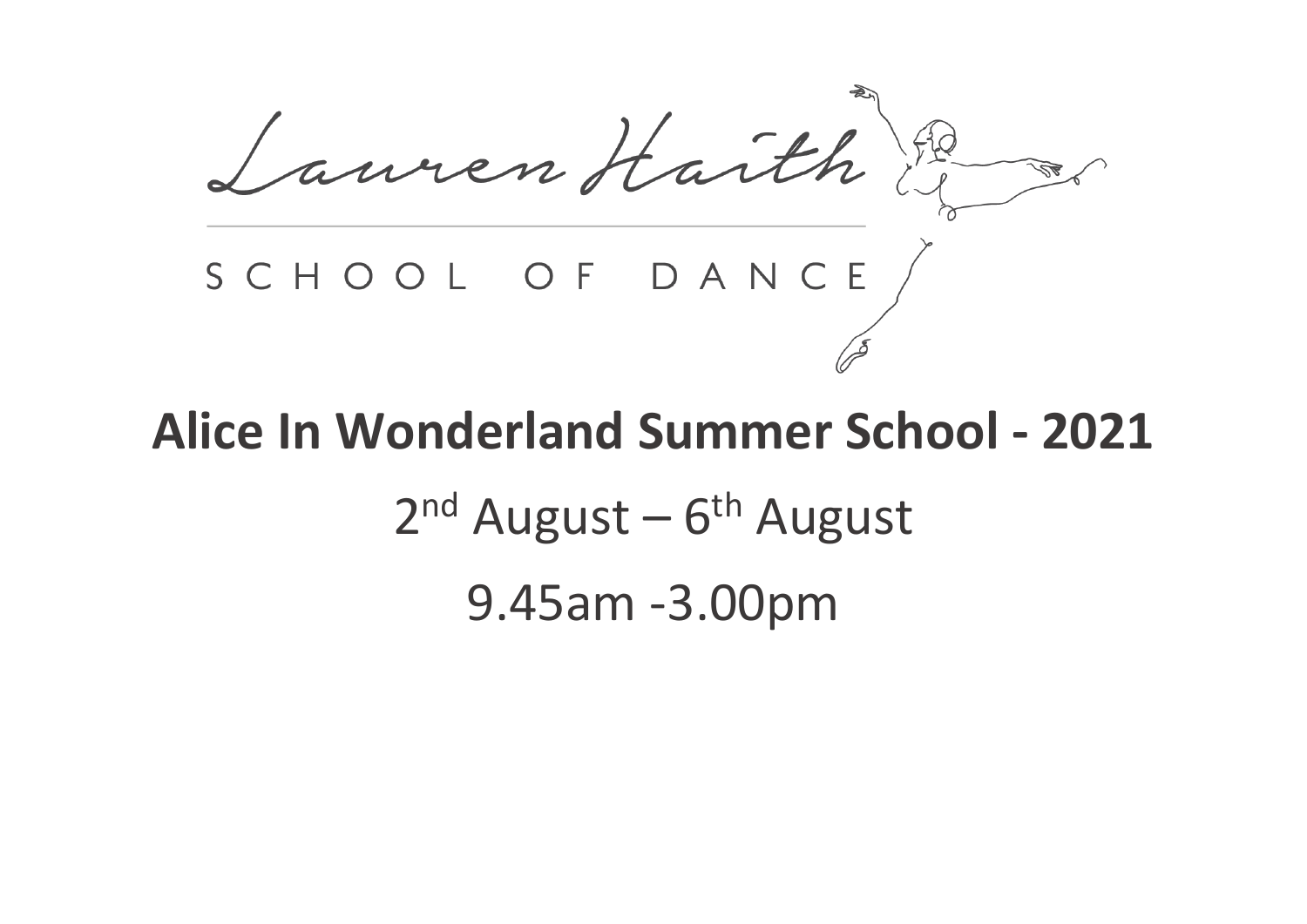Lauren Harth France SCHOOL OF DANCE

# **Alice In Wonderland Summer School - 2021** 2<sup>nd</sup> August – 6<sup>th</sup> August 9.45am -3.00pm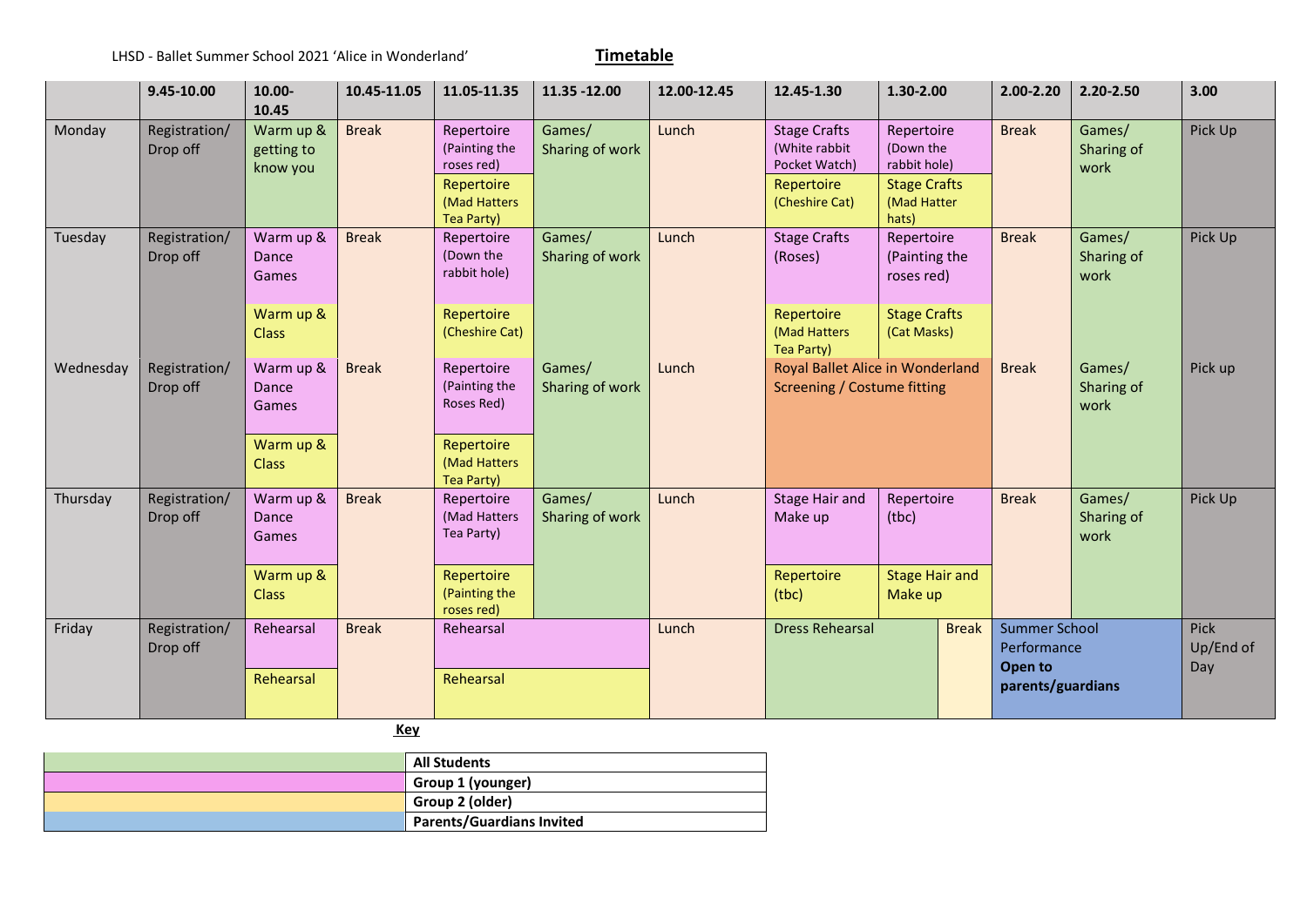|           | 9.45-10.00                | 10.00-<br>10.45                     | 10.45-11.05  | 11.05-11.35                                                             | 11.35 - 12.00             | 12.00-12.45 | 12.45-1.30                                                                                                                                                             | 1.30-2.00                          |              | 2.00-2.20                                      | 2.20-2.50                | 3.00    |
|-----------|---------------------------|-------------------------------------|--------------|-------------------------------------------------------------------------|---------------------------|-------------|------------------------------------------------------------------------------------------------------------------------------------------------------------------------|------------------------------------|--------------|------------------------------------------------|--------------------------|---------|
| Monday    | Registration/<br>Drop off | Warm up &<br>getting to<br>know you | <b>Break</b> | Repertoire<br>(Painting the<br>roses red)<br>Repertoire<br>(Mad Hatters | Games/<br>Sharing of work | Lunch       | <b>Stage Crafts</b><br>Repertoire<br>(White rabbit<br>(Down the<br>Pocket Watch)<br>rabbit hole)<br><b>Stage Crafts</b><br>Repertoire<br>(Cheshire Cat)<br>(Mad Hatter |                                    | <b>Break</b> | Games/<br>Sharing of<br>work                   | Pick Up                  |         |
| Tuesday   | Registration/<br>Drop off | Warm up &<br>Dance<br>Games         | <b>Break</b> | Tea Party)<br>Repertoire<br>(Down the<br>rabbit hole)                   | Games/<br>Sharing of work | Lunch       | hats)<br><b>Stage Crafts</b><br>Repertoire<br>(Roses)<br>(Painting the<br>roses red)                                                                                   |                                    | <b>Break</b> | Games/<br>Sharing of<br>work                   | Pick Up                  |         |
|           |                           | Warm up &<br><b>Class</b>           |              | Repertoire<br>(Cheshire Cat)                                            |                           |             | Repertoire<br>(Mad Hatters<br>Tea Party)                                                                                                                               | <b>Stage Crafts</b><br>(Cat Masks) |              |                                                |                          |         |
| Wednesday | Registration/<br>Drop off | Warm up &<br>Dance<br>Games         | <b>Break</b> | Repertoire<br>(Painting the<br>Roses Red)                               | Games/<br>Sharing of work | Lunch       | Royal Ballet Alice in Wonderland<br>Screening / Costume fitting                                                                                                        |                                    | <b>Break</b> | Games/<br>Sharing of<br>work                   | Pick up                  |         |
|           |                           | Warm up &<br><b>Class</b>           |              | Repertoire<br>(Mad Hatters<br>Tea Party)                                |                           |             |                                                                                                                                                                        |                                    |              |                                                |                          |         |
| Thursday  | Registration/<br>Drop off | Warm up &<br>Dance<br><b>Games</b>  | <b>Break</b> | Repertoire<br>(Mad Hatters<br>Tea Party)                                | Games/<br>Sharing of work | Lunch       | <b>Stage Hair and</b><br>Make up                                                                                                                                       | Repertoire<br>(tbc)                |              | <b>Break</b><br>Games/<br>Sharing of<br>work   |                          | Pick Up |
|           |                           | Warm up &<br><b>Class</b>           |              | Repertoire<br>(Painting the<br>roses red)                               |                           |             | Repertoire<br>(tbc)                                                                                                                                                    | <b>Stage Hair and</b><br>Make up   |              |                                                |                          |         |
| Friday    | Registration/<br>Drop off | Rehearsal                           | <b>Break</b> | Rehearsal                                                               |                           | Lunch       | <b>Dress Rehearsal</b>                                                                                                                                                 |                                    | <b>Break</b> | <b>Summer School</b><br>Performance<br>Open to | Pick<br>Up/End of<br>Day |         |
|           |                           | Rehearsal                           |              | Rehearsal                                                               |                           |             |                                                                                                                                                                        |                                    |              | parents/guardians                              |                          |         |

 **Key**

| <b>All Students</b>              |
|----------------------------------|
| Group 1 (younger)                |
| Group 2 (older)                  |
| <b>Parents/Guardians Invited</b> |